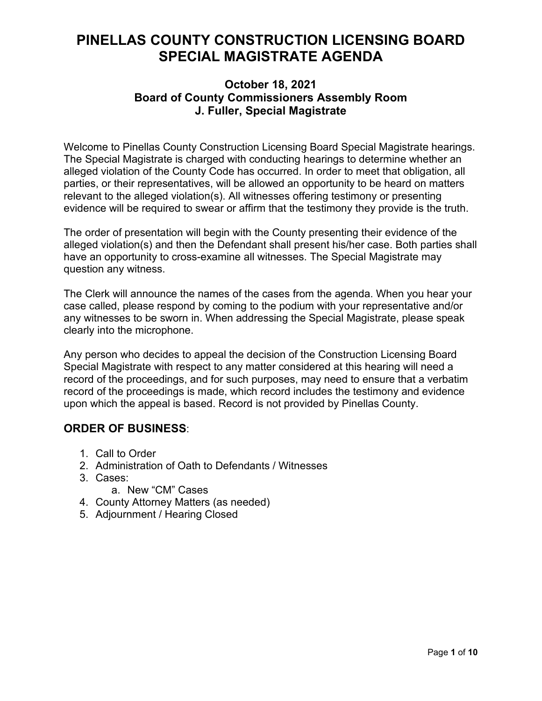# **PINELLAS COUNTY CONSTRUCTION LICENSING BOARD SPECIAL MAGISTRATE AGENDA**

### **October 18, 2021 Board of County Commissioners Assembly Room J. Fuller, Special Magistrate**

Welcome to Pinellas County Construction Licensing Board Special Magistrate hearings. The Special Magistrate is charged with conducting hearings to determine whether an alleged violation of the County Code has occurred. In order to meet that obligation, all parties, or their representatives, will be allowed an opportunity to be heard on matters relevant to the alleged violation(s). All witnesses offering testimony or presenting evidence will be required to swear or affirm that the testimony they provide is the truth.

The order of presentation will begin with the County presenting their evidence of the alleged violation(s) and then the Defendant shall present his/her case. Both parties shall have an opportunity to cross-examine all witnesses. The Special Magistrate may question any witness.

The Clerk will announce the names of the cases from the agenda. When you hear your case called, please respond by coming to the podium with your representative and/or any witnesses to be sworn in. When addressing the Special Magistrate, please speak clearly into the microphone.

Any person who decides to appeal the decision of the Construction Licensing Board Special Magistrate with respect to any matter considered at this hearing will need a record of the proceedings, and for such purposes, may need to ensure that a verbatim record of the proceedings is made, which record includes the testimony and evidence upon which the appeal is based. Record is not provided by Pinellas County.

## **ORDER OF BUSINESS**:

- 1. Call to Order
- 2. Administration of Oath to Defendants / Witnesses
- 3. Cases:
	- a. New "CM" Cases
- 4. County Attorney Matters (as needed)
- 5. Adjournment / Hearing Closed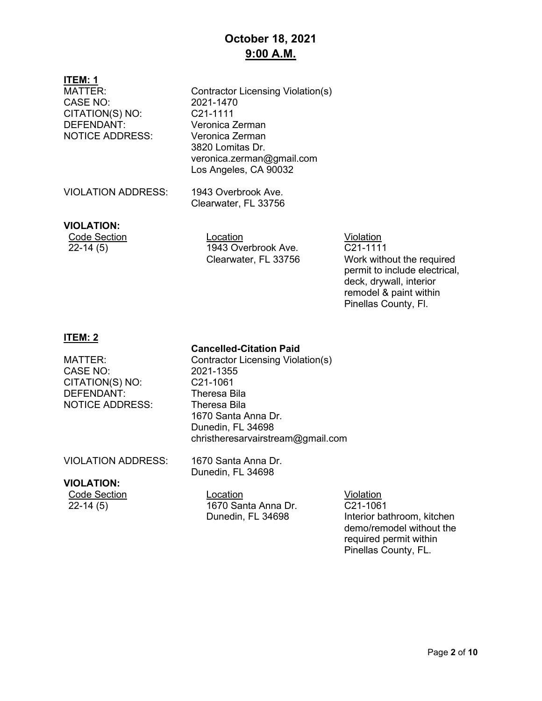# **October 18, 2021 9:00 A.M.**

#### **ITEM: 1**

| MATTER:<br><b>CASE NO:</b><br>CITATION(S) NO:<br>DEFENDANT:<br><b>NOTICE ADDRESS:</b> | Contractor Licensing Violation(s)<br>2021-1470<br>C21-1111<br>Veronica Zerman<br>Veronica Zerman<br>3820 Lomitas Dr.<br>veronica.zerman@gmail.com<br>Los Angeles, CA 90032 |
|---------------------------------------------------------------------------------------|----------------------------------------------------------------------------------------------------------------------------------------------------------------------------|
| <b>VIOLATION ADDRESS:</b>                                                             | 1943 Overbrook Ave.<br>Clearwater, FL 33756                                                                                                                                |
|                                                                                       |                                                                                                                                                                            |

#### **VIOLATION:**

Code Section Location Location Location Violation<br>22-14 (5) 1943 Overbrook Ave. C21-111 1943 Overbrook Ave. Clearwater, FL 33756

C21-1111 Work without the required permit to include electrical, deck, drywall, interior remodel & paint within Pinellas County, Fl.

### **ITEM: 2**

### **Cancelled-Citation Paid**

CASE NO: 2021-1355<br>CITATION(S) NO: C21-1061 CITATION(S) NO: DEFENDANT: Theresa Bila NOTICE ADDRESS: Theresa Bila

MATTER: Contractor Licensing Violation(s) 1670 Santa Anna Dr. Dunedin, FL 34698 christheresarvairstream@gmail.com

VIOLATION ADDRESS: 1670 Santa Anna Dr.

Dunedin, FL 34698

### **VIOLATION:**

Code Section **Location Location Location Violation** 22-14 (5) 1670 Santa Anna Dr. Dunedin, FL 34698

C21-1061 Interior bathroom, kitchen demo/remodel without the required permit within Pinellas County, FL.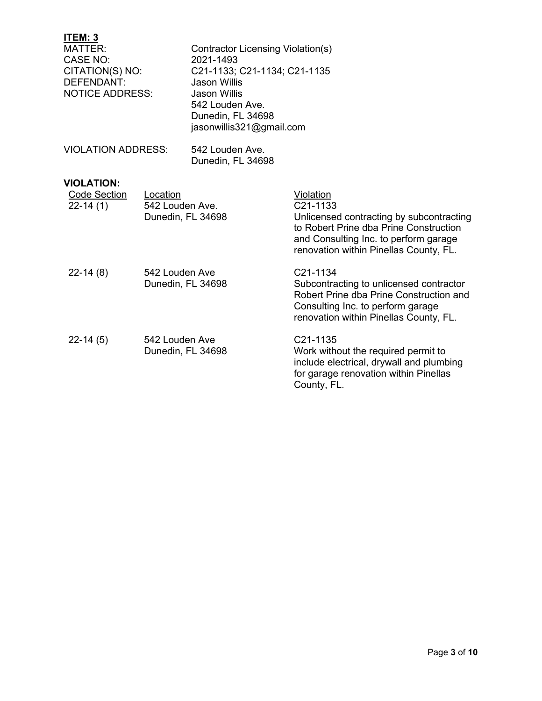| ITEM: 3<br>MATTER:<br>CASE NO:<br>CITATION(S) NO:<br>DEFENDANT:<br><b>NOTICE ADDRESS:</b> | Contractor Licensing Violation(s)<br>2021-1493<br>C21-1133; C21-1134; C21-1135<br>Jason Willis<br>Jason Willis<br>542 Louden Ave.<br>Dunedin, FL 34698<br>jasonwillis321@gmail.com |
|-------------------------------------------------------------------------------------------|------------------------------------------------------------------------------------------------------------------------------------------------------------------------------------|
| <b>VIOLATION ADDRESS:</b>                                                                 | 542 Louden Ave.<br>Dunedin, FL 34698                                                                                                                                               |

## **VIOLATION:**

| <b>Code Section</b><br>$22-14(1)$ | Location<br>542 Louden Ave.<br>Dunedin, FL 34698 | Violation<br>C <sub>21</sub> -1133<br>Unlicensed contracting by subcontracting<br>to Robert Prine dba Prine Construction<br>and Consulting Inc. to perform garage<br>renovation within Pinellas County, FL. |
|-----------------------------------|--------------------------------------------------|-------------------------------------------------------------------------------------------------------------------------------------------------------------------------------------------------------------|
| $22-14(8)$                        | 542 Louden Ave<br>Dunedin, FL 34698              | C <sub>21</sub> -1134<br>Subcontracting to unlicensed contractor<br>Robert Prine dba Prine Construction and<br>Consulting Inc. to perform garage<br>renovation within Pinellas County, FL.                  |
| $22-14(5)$                        | 542 Louden Ave<br>Dunedin, FL 34698              | C21-1135<br>Work without the required permit to<br>include electrical, drywall and plumbing<br>for garage renovation within Pinellas<br>County, FL.                                                         |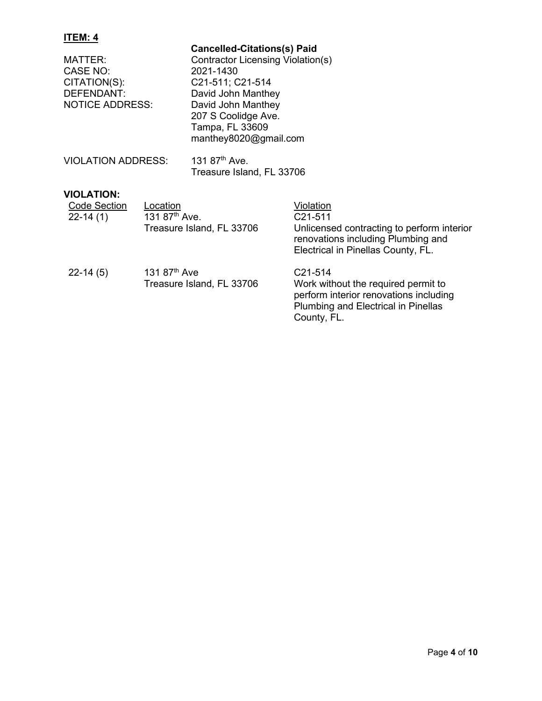| MATTER:<br>CASE NO:<br>CITATION(S):<br><b>DEFENDANT:</b><br><b>NOTICE ADDRESS:</b>       | <b>Cancelled-Citations(s) Paid</b><br>Contractor Licensing Violation(s)<br>2021-1430<br>C21-511; C21-514<br>David John Manthey<br>David John Manthey<br>207 S Coolidge Ave.<br>Tampa, FL 33609<br>manthey8020@gmail.com |
|------------------------------------------------------------------------------------------|-------------------------------------------------------------------------------------------------------------------------------------------------------------------------------------------------------------------------|
| <b>VIOLATION ADDRESS:</b>                                                                | 131 87 <sup>th</sup> Ave.<br>Treasure Island, FL 33706                                                                                                                                                                  |
| <b>VIOLATION:</b><br>Code Section<br>Location<br>131 87 <sup>th</sup> Ave.<br>$22-14(1)$ | Violation<br>C21-511                                                                                                                                                                                                    |

| $22-14(1)$ | 131 87 <sup>th</sup> Ave.<br>Treasure Island, FL 33706 | C <sub>21</sub> -511<br>Unlicensed contracting to perform interior<br>renovations including Plumbing and<br>Electrical in Pinellas County, FL. |
|------------|--------------------------------------------------------|------------------------------------------------------------------------------------------------------------------------------------------------|
| $22-14(5)$ | 131 $87^{\text{th}}$ Ave<br>Treasure Island, FL 33706  | C <sub>21</sub> -514<br>Work without the required permit to<br>perform interior renovations including<br>Plumbing and Electrical in Pinellas   |

County, FL.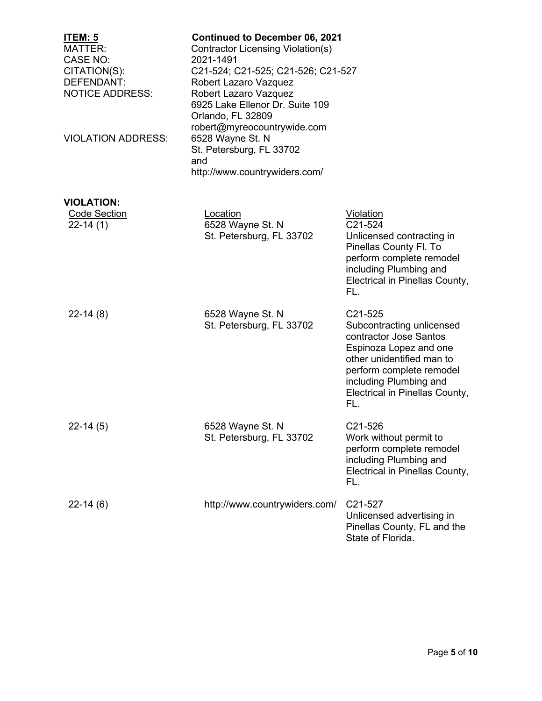| <u>ITEM: 5</u><br>MATTER:<br><b>CASE NO:</b><br>CITATION(S):<br>DEFENDANT:<br><b>NOTICE ADDRESS:</b> | <b>Continued to December 06, 2021</b><br><b>Contractor Licensing Violation(s)</b><br>2021-1491<br>C21-524; C21-525; C21-526; C21-527<br>Robert Lazaro Vazquez<br>Robert Lazaro Vazquez<br>6925 Lake Ellenor Dr. Suite 109<br>Orlando, FL 32809 |                                                                                                                                                                                                                      |
|------------------------------------------------------------------------------------------------------|------------------------------------------------------------------------------------------------------------------------------------------------------------------------------------------------------------------------------------------------|----------------------------------------------------------------------------------------------------------------------------------------------------------------------------------------------------------------------|
| <b>VIOLATION ADDRESS:</b>                                                                            | robert@myreocountrywide.com<br>6528 Wayne St. N<br>St. Petersburg, FL 33702<br>and<br>http://www.countrywiders.com/                                                                                                                            |                                                                                                                                                                                                                      |
|                                                                                                      |                                                                                                                                                                                                                                                |                                                                                                                                                                                                                      |
| <b>VIOLATION:</b><br><b>Code Section</b><br>$22-14(1)$                                               | Location<br>6528 Wayne St. N<br>St. Petersburg, FL 33702                                                                                                                                                                                       | <u>Violation</u><br>C21-524<br>Unlicensed contracting in<br>Pinellas County Fl. To<br>perform complete remodel<br>including Plumbing and<br>Electrical in Pinellas County,<br>FL.                                    |
| $22-14(8)$                                                                                           | 6528 Wayne St. N<br>St. Petersburg, FL 33702                                                                                                                                                                                                   | C21-525<br>Subcontracting unlicensed<br>contractor Jose Santos<br>Espinoza Lopez and one<br>other unidentified man to<br>perform complete remodel<br>including Plumbing and<br>Electrical in Pinellas County,<br>FL. |
| $22-14(5)$                                                                                           | 6528 Wayne St. N<br>St. Petersburg, FL 33702                                                                                                                                                                                                   | C21-526<br>Work without permit to<br>perform complete remodel<br>including Plumbing and<br>Electrical in Pinellas County,<br>FL.                                                                                     |
| $22-14(6)$                                                                                           | http://www.countrywiders.com/                                                                                                                                                                                                                  | C21-527<br>Unlicensed advertising in<br>Pinellas County, FL and the<br>State of Florida.                                                                                                                             |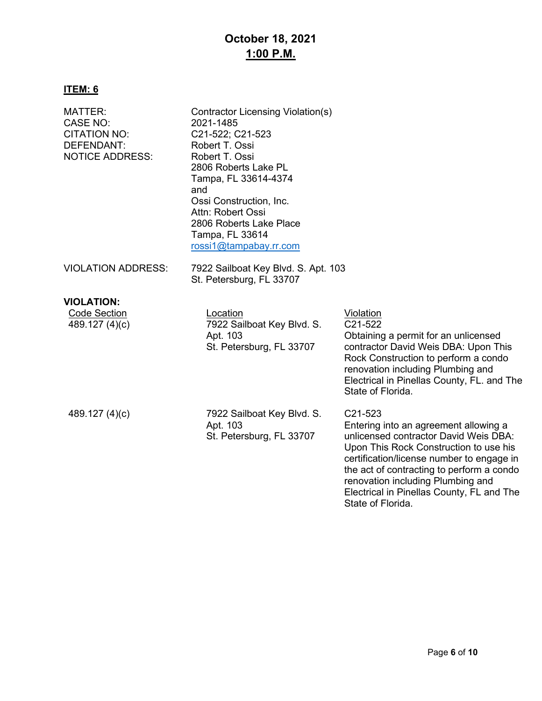# **October 18, 2021 1:00 P.M.**

# **ITEM: 6**

| MATTER:<br><b>CASE NO:</b><br><b>CITATION NO:</b><br>DEFENDANT:<br><b>NOTICE ADDRESS:</b> | Contractor Licensing Violation(s)<br>2021-1485<br>C21-522; C21-523<br>Robert T. Ossi<br>Robert T. Ossi<br>2806 Roberts Lake PL<br>Tampa, FL 33614-4374<br>and<br>Ossi Construction, Inc.<br>Attn: Robert Ossi<br>2806 Roberts Lake Place<br>Tampa, FL 33614<br>rossi1@tampabay.rr.com |                                                                                                                                                                                                                                                                                                                                      |
|-------------------------------------------------------------------------------------------|---------------------------------------------------------------------------------------------------------------------------------------------------------------------------------------------------------------------------------------------------------------------------------------|--------------------------------------------------------------------------------------------------------------------------------------------------------------------------------------------------------------------------------------------------------------------------------------------------------------------------------------|
| <b>VIOLATION ADDRESS:</b>                                                                 | 7922 Sailboat Key Blvd. S. Apt. 103<br>St. Petersburg, FL 33707                                                                                                                                                                                                                       |                                                                                                                                                                                                                                                                                                                                      |
| <b>VIOLATION:</b><br><b>Code Section</b><br>489.127 (4)(c)                                | Location<br>7922 Sailboat Key Blvd. S.<br>Apt. 103<br>St. Petersburg, FL 33707                                                                                                                                                                                                        | <b>Violation</b><br>C21-522<br>Obtaining a permit for an unlicensed<br>contractor David Weis DBA: Upon This<br>Rock Construction to perform a condo<br>renovation including Plumbing and<br>Electrical in Pinellas County, FL. and The<br>State of Florida.                                                                          |
| 489.127 (4)(c)                                                                            | 7922 Sailboat Key Blvd. S.<br>Apt. 103<br>St. Petersburg, FL 33707                                                                                                                                                                                                                    | C21-523<br>Entering into an agreement allowing a<br>unlicensed contractor David Weis DBA:<br>Upon This Rock Construction to use his<br>certification/license number to engage in<br>the act of contracting to perform a condo<br>renovation including Plumbing and<br>Electrical in Pinellas County, FL and The<br>State of Florida. |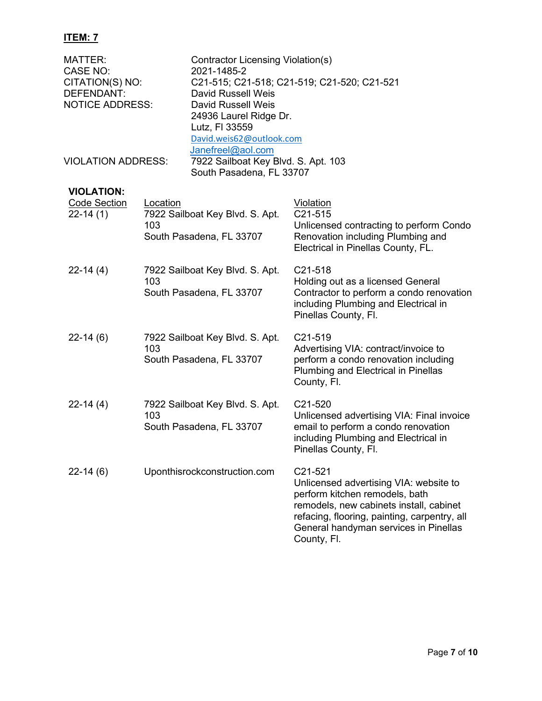| <b>MATTER:</b><br>CASE NO:<br>CITATION(S) NO:<br>DEFENDANT:<br><b>NOTICE ADDRESS:</b> | Contractor Licensing Violation(s)<br>2021-1485-2<br>C21-515; C21-518; C21-519; C21-520; C21-521<br>David Russell Weis<br>David Russell Weis<br>24936 Laurel Ridge Dr.<br>Lutz, FI 33559<br>David.weis62@outlook.com |                                                                 |                                                                                                                                              |
|---------------------------------------------------------------------------------------|---------------------------------------------------------------------------------------------------------------------------------------------------------------------------------------------------------------------|-----------------------------------------------------------------|----------------------------------------------------------------------------------------------------------------------------------------------|
| Janefreel@aol.com<br><b>VIOLATION ADDRESS:</b>                                        |                                                                                                                                                                                                                     | 7922 Sailboat Key Blvd. S. Apt. 103<br>South Pasadena, FL 33707 |                                                                                                                                              |
| <b>VIOLATION:</b><br><b>Code Section</b><br>$22 - 14(1)$                              | Location<br>103                                                                                                                                                                                                     | 7922 Sailboat Key Blvd. S. Apt.<br>South Pasadena, FL 33707     | Violation<br>$C21-515$<br>Unlicensed contracting to perform Condo<br>Renovation including Plumbing and<br>Electrical in Pinellas County, FL. |

- 22-14 (4) 7922 Sailboat Key Blvd. S. Apt. 103 South Pasadena, FL 33707 C21-518 Holding out as a licensed General Contractor to perform a condo renovation including Plumbing and Electrical in Pinellas County, Fl.
- 22-14 (6) 22-14 (4) 22-14 (6) 7922 Sailboat Key Blvd. S. Apt. 103 South Pasadena, FL 33707 7922 Sailboat Key Blvd. S. Apt. 103 South Pasadena, FL 33707 Uponthisrockconstruction.com C21-519 Advertising VIA: contract/invoice to perform a condo renovation including Plumbing and Electrical in Pinellas County, Fl. C21-520 Unlicensed advertising VIA: Final invoice email to perform a condo renovation including Plumbing and Electrical in Pinellas County, Fl. C21-521 Unlicensed advertising VIA: website to perform kitchen remodels, bath remodels, new cabinets install, cabinet

refacing, flooring, painting, carpentry, all General handyman services in Pinellas

County, Fl.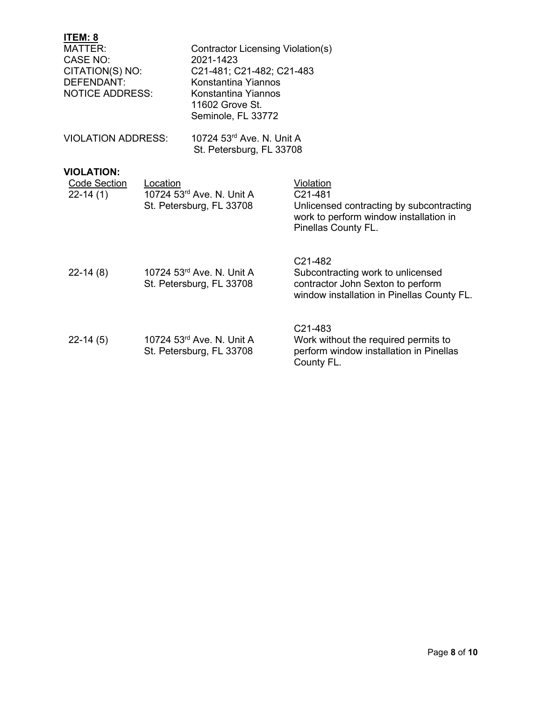| ITEM: 8<br><b>MATTER:</b><br>CASE NO:<br>CITATION(S) NO:<br>DEFENDANT:<br><b>NOTICE ADDRESS:</b> |          | Contractor Licensing Violation(s)<br>2021-1423<br>C21-481; C21-482; C21-483<br>Konstantina Yiannos<br>Konstantina Yiannos<br>11602 Grove St.<br>Seminole, FL 33772 |                                                                                                                                                          |
|--------------------------------------------------------------------------------------------------|----------|--------------------------------------------------------------------------------------------------------------------------------------------------------------------|----------------------------------------------------------------------------------------------------------------------------------------------------------|
| <b>VIOLATION ADDRESS:</b>                                                                        |          | 10724 53rd Ave, N. Unit A<br>St. Petersburg, FL 33708                                                                                                              |                                                                                                                                                          |
| <b>VIOLATION:</b><br><b>Code Section</b><br>$22-14(1)$                                           | Location | 10724 53rd Ave, N. Unit A<br>St. Petersburg, FL 33708                                                                                                              | Violation<br>C21-481<br>Unlicensed contracting by subcontracting<br>work to perform window installation in<br>Pinellas County FL.                        |
| $22 - 14(8)$                                                                                     |          | 10724 53rd Ave, N. Unit A<br>St. Petersburg, FL 33708                                                                                                              | C <sub>21</sub> -48 <sub>2</sub><br>Subcontracting work to unlicensed<br>contractor John Sexton to perform<br>window installation in Pinellas County FL. |
| $22-14(5)$                                                                                       |          | 10724 53rd Ave, N. Unit A<br>St. Petersburg, FL 33708                                                                                                              | C21-483<br>Work without the required permits to<br>perform window installation in Pinellas<br>County FL.                                                 |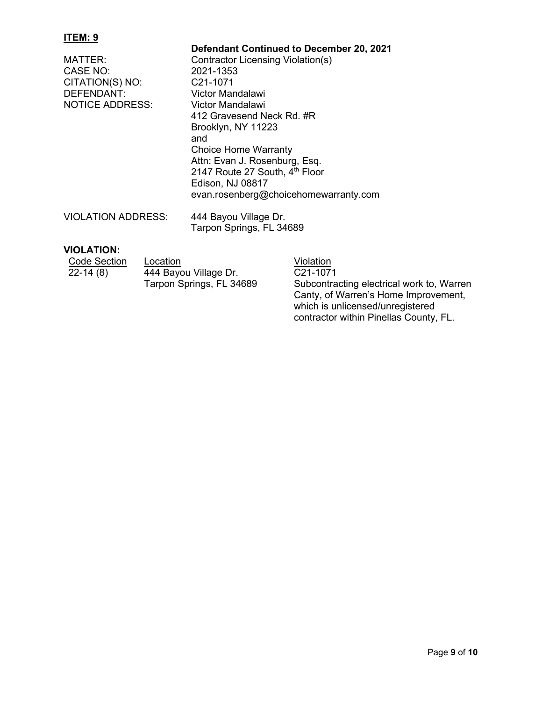**Defendant Continued to December 20, 2021** MATTER: Contractor Licensing Violation(s)<br>CASE NO: 2021-1353 CASE NO: 2021-1353<br>CITATION(S) NO: C21-1071 CITATION(S) NO:<br>DEFENDANT: Victor Mandalawi<br>Victor Mandalawi NOTICE ADDRESS: 412 Gravesend Neck Rd. #R Brooklyn, NY 11223 and Choice Home Warranty Attn: Evan J. Rosenburg, Esq. 2147 Route 27 South, 4th Floor Edison, NJ 08817 evan.rosenberg@choicehomewarranty.com VIOLATION ADDRESS: 444 Bayou Village Dr. Tarpon Springs, FL 34689

### **VIOLATION:**

| <b>Code Section</b> | Location                 | Violation                                                                     |
|---------------------|--------------------------|-------------------------------------------------------------------------------|
| $22 - 14(8)$        | 444 Bayou Village Dr.    | C <sub>21</sub> -1071                                                         |
|                     | Tarpon Springs, FL 34689 | Subcontracting electrical work to, Warr<br>Capty of Warran's Hama Improvement |

Subcontracting electrical work to, Warren Canty, of Warren's Home Improvement, which is unlicensed/unregistered contractor within Pinellas County, FL.